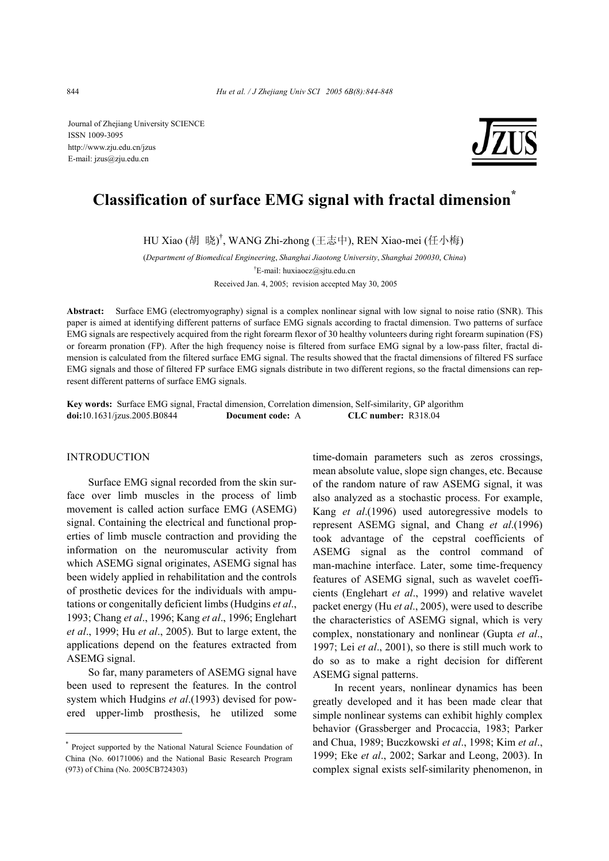

# **Classification of surface EMG signal with fractal dimension\***

HU Xiao (胡 晓) † , WANG Zhi-zhong (王志中), REN Xiao-mei (任小梅)

(*Department of Biomedical Engineering*, *Shanghai Jiaotong University*, *Shanghai 200030*, *China*) † E-mail: huxiaocz@sjtu.edu.cn

Received Jan. 4, 2005; revision accepted May 30, 2005

**Abstract:** Surface EMG (electromyography) signal is a complex nonlinear signal with low signal to noise ratio (SNR). This paper is aimed at identifying different patterns of surface EMG signals according to fractal dimension. Two patterns of surface EMG signals are respectively acquired from the right forearm flexor of 30 healthy volunteers during right forearm supination (FS) or forearm pronation (FP). After the high frequency noise is filtered from surface EMG signal by a low-pass filter, fractal dimension is calculated from the filtered surface EMG signal. The results showed that the fractal dimensions of filtered FS surface EMG signals and those of filtered FP surface EMG signals distribute in two different regions, so the fractal dimensions can represent different patterns of surface EMG signals.

**Key words:** Surface EMG signal, Fractal dimension, Correlation dimension, Self-similarity, GP algorithm **doi:**10.1631/jzus.2005.B0844 **Document code:** A **CLC number:** R318.04

#### INTRODUCTION

Surface EMG signal recorded from the skin surface over limb muscles in the process of limb movement is called action surface EMG (ASEMG) signal. Containing the electrical and functional properties of limb muscle contraction and providing the information on the neuromuscular activity from which ASEMG signal originates, ASEMG signal has been widely applied in rehabilitation and the controls of prosthetic devices for the individuals with amputations or congenitally deficient limbs (Hudgins *et al*., 1993; Chang *et al*., 1996; Kang *et al*., 1996; Englehart *et al*., 1999; Hu *et al*., 2005). But to large extent, the applications depend on the features extracted from ASEMG signal.

So far, many parameters of ASEMG signal have been used to represent the features. In the control system which Hudgins *et al*.(1993) devised for powered upper-limb prosthesis, he utilized some time-domain parameters such as zeros crossings, mean absolute value, slope sign changes, etc. Because of the random nature of raw ASEMG signal, it was also analyzed as a stochastic process. For example, Kang *et al*.(1996) used autoregressive models to represent ASEMG signal, and Chang *et al*.(1996) took advantage of the cepstral coefficients of ASEMG signal as the control command of man-machine interface. Later, some time-frequency features of ASEMG signal, such as wavelet coefficients (Englehart *et al*., 1999) and relative wavelet packet energy (Hu *et al*., 2005), were used to describe the characteristics of ASEMG signal, which is very complex, nonstationary and nonlinear (Gupta *et al*., 1997; Lei *et al*., 2001), so there is still much work to do so as to make a right decision for different ASEMG signal patterns.

In recent years, nonlinear dynamics has been greatly developed and it has been made clear that simple nonlinear systems can exhibit highly complex behavior (Grassberger and Procaccia, 1983; Parker and Chua, 1989; Buczkowski *et al*., 1998; Kim *et al*., 1999; Eke *et al*., 2002; Sarkar and Leong, 2003). In complex signal exists self-similarity phenomenon, in

<sup>\*</sup> Project supported by the National Natural Science Foundation of China (No. 60171006) and the National Basic Research Program (973) of China (No. 2005CB724303)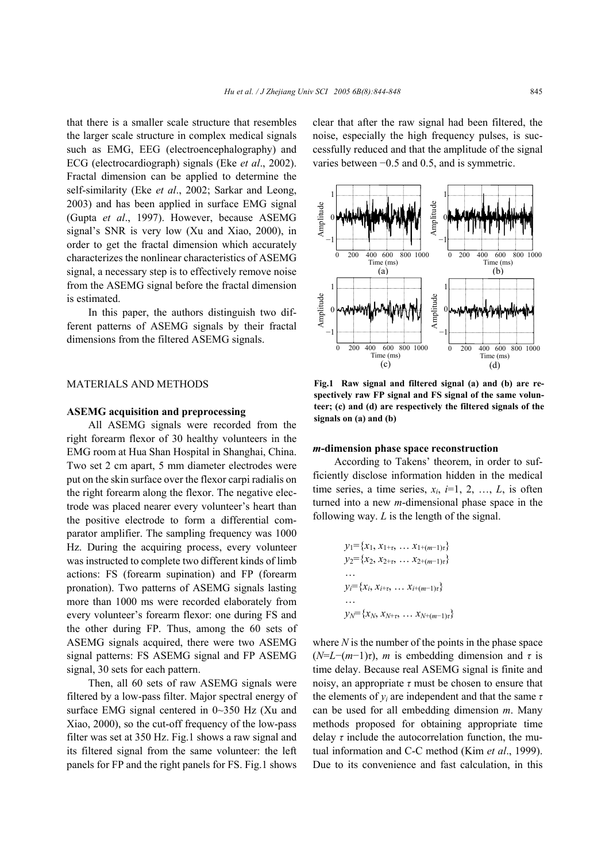that there is a smaller scale structure that resembles the larger scale structure in complex medical signals such as EMG, EEG (electroencephalography) and ECG (electrocardiograph) signals (Eke *et al*., 2002). Fractal dimension can be applied to determine the self-similarity (Eke *et al*., 2002; Sarkar and Leong, 2003) and has been applied in surface EMG signal (Gupta *et al*., 1997). However, because ASEMG signal's SNR is very low (Xu and Xiao, 2000), in order to get the fractal dimension which accurately characterizes the nonlinear characteristics of ASEMG signal, a necessary step is to effectively remove noise from the ASEMG signal before the fractal dimension is estimated.

In this paper, the authors distinguish two different patterns of ASEMG signals by their fractal dimensions from the filtered ASEMG signals.

### MATERIALS AND METHODS

#### **ASEMG acquisition and preprocessing**

All ASEMG signals were recorded from the right forearm flexor of 30 healthy volunteers in the EMG room at Hua Shan Hospital in Shanghai, China. Two set 2 cm apart, 5 mm diameter electrodes were put on the skin surface over the flexor carpi radialis on the right forearm along the flexor. The negative electrode was placed nearer every volunteer's heart than the positive electrode to form a differential comparator amplifier. The sampling frequency was 1000 Hz. During the acquiring process, every volunteer was instructed to complete two different kinds of limb actions: FS (forearm supination) and FP (forearm pronation). Two patterns of ASEMG signals lasting more than 1000 ms were recorded elaborately from every volunteer's forearm flexor: one during FS and the other during FP. Thus, among the 60 sets of ASEMG signals acquired, there were two ASEMG signal patterns: FS ASEMG signal and FP ASEMG signal, 30 sets for each pattern.

Then, all 60 sets of raw ASEMG signals were filtered by a low-pass filter. Major spectral energy of surface EMG signal centered in 0~350 Hz (Xu and Xiao, 2000), so the cut-off frequency of the low-pass filter was set at 350 Hz. Fig.1 shows a raw signal and its filtered signal from the same volunteer: the left panels for FP and the right panels for FS. Fig.1 shows

clear that after the raw signal had been filtered, the noise, especially the high frequency pulses, is successfully reduced and that the amplitude of the signal varies between −0.5 and 0.5, and is symmetric.



**Fig.1 Raw signal and filtered signal (a) and (b) are respectively raw FP signal and FS signal of the same volunteer; (c) and (d) are respectively the filtered signals of the signals on (a) and (b)**

#### *m***-dimension phase space reconstruction**

According to Takens' theorem, in order to sufficiently disclose information hidden in the medical time series, a time series,  $x_i$ ,  $i=1, 2, ..., L$ , is often turned into a new *m*-dimensional phase space in the following way. *L* is the length of the signal.

$$
y_1 = \{x_1, x_{1+\tau}, \dots x_{1+(m-1)\tau}\}
$$
  
\n
$$
y_2 = \{x_2, x_{2+\tau}, \dots x_{2+(m-1)\tau}\}
$$
  
\n...  
\n
$$
y_i = \{x_i, x_{i+\tau}, \dots x_{i+(m-1)\tau}\}
$$
  
\n...  
\n
$$
y_N = \{x_N, x_{N+\tau}, \dots x_{N+(m-1)\tau}\}
$$

where *N* is the number of the points in the phase space  $(N=L-(m-1)\tau)$ , *m* is embedding dimension and  $\tau$  is time delay. Because real ASEMG signal is finite and noisy, an appropriate  $\tau$  must be chosen to ensure that the elements of *yi* are independent and that the same *τ* can be used for all embedding dimension *m*. Many methods proposed for obtaining appropriate time delay  $\tau$  include the autocorrelation function, the mutual information and C-C method (Kim *et al*., 1999). Due to its convenience and fast calculation, in this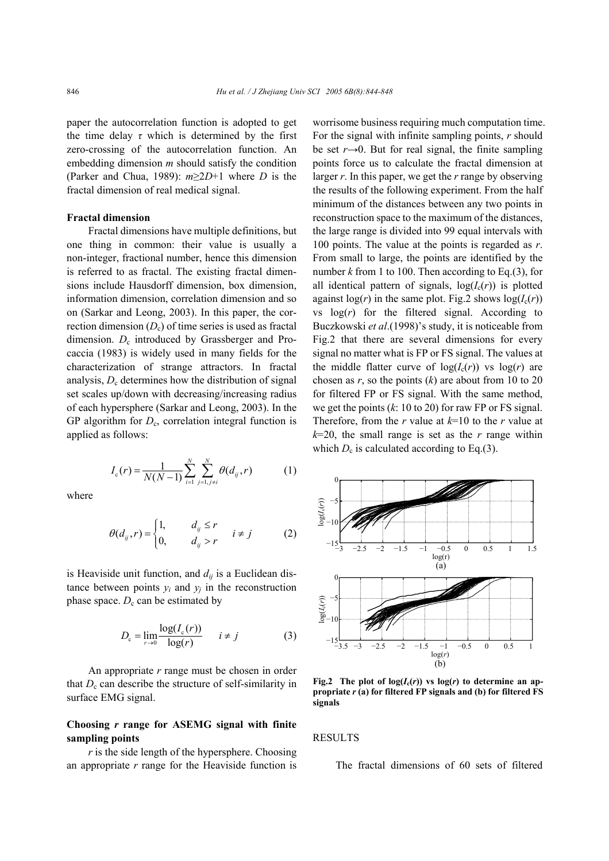paper the autocorrelation function is adopted to get the time delay  $\tau$  which is determined by the first zero-crossing of the autocorrelation function. An embedding dimension *m* should satisfy the condition (Parker and Chua, 1989): *m*≥2*D*+1 where *D* is the fractal dimension of real medical signal.

## **Fractal dimension**

Fractal dimensions have multiple definitions, but one thing in common: their value is usually a non-integer, fractional number, hence this dimension is referred to as fractal. The existing fractal dimensions include Hausdorff dimension, box dimension, information dimension, correlation dimension and so on (Sarkar and Leong, 2003). In this paper, the correction dimension  $(D_c)$  of time series is used as fractal dimension.  $D_c$  introduced by Grassberger and Procaccia (1983) is widely used in many fields for the characterization of strange attractors. In fractal analysis,  $D_c$  determines how the distribution of signal set scales up/down with decreasing/increasing radius of each hypersphere (Sarkar and Leong, 2003). In the GP algorithm for  $D_c$ , correlation integral function is applied as follows:

$$
I_{c}(r) = \frac{1}{N(N-1)} \sum_{i=1}^{N} \sum_{j=1, j \neq i}^{N} \theta(d_{ij}, r)
$$
 (1)

where

$$
\theta(d_{ij}, r) = \begin{cases} 1, & d_{ij} \le r \\ 0, & d_{ij} > r \end{cases} \quad i \ne j \tag{2}
$$

is Heaviside unit function, and  $d_{ij}$  is a Euclidean distance between points  $y_i$  and  $y_j$  in the reconstruction phase space.  $D_c$  can be estimated by

$$
D_{c} = \lim_{r \to 0} \frac{\log(I_{c}(r))}{\log(r)} \qquad i \neq j \tag{3}
$$

An appropriate *r* range must be chosen in order that  $D_c$  can describe the structure of self-similarity in surface EMG signal.

## **Choosing** *r* **range for ASEMG signal with finite sampling points**

*r* is the side length of the hypersphere. Choosing an appropriate *r* range for the Heaviside function is worrisome business requiring much computation time. For the signal with infinite sampling points, *r* should be set  $r\rightarrow 0$ . But for real signal, the finite sampling points force us to calculate the fractal dimension at larger *r*. In this paper, we get the *r* range by observing the results of the following experiment. From the half minimum of the distances between any two points in reconstruction space to the maximum of the distances, the large range is divided into 99 equal intervals with 100 points. The value at the points is regarded as *r*. From small to large, the points are identified by the number  $k$  from 1 to 100. Then according to Eq.(3), for all identical pattern of signals,  $log(I_c(r))$  is plotted against  $log(r)$  in the same plot. Fig.2 shows  $log(I_c(r))$ vs  $log(r)$  for the filtered signal. According to Buczkowski *et al*.(1998)'s study, it is noticeable from Fig.2 that there are several dimensions for every signal no matter what is FP or FS signal. The values at the middle flatter curve of  $log(I_c(r))$  vs  $log(r)$  are chosen as  $r$ , so the points  $(k)$  are about from 10 to 20 for filtered FP or FS signal. With the same method, we get the points (*k*: 10 to 20) for raw FP or FS signal. Therefore, from the *r* value at *k*=10 to the *r* value at  $k=20$ , the small range is set as the *r* range within which  $D_c$  is calculated according to Eq.(3).



**Fig.2** The plot of  $log(I_c(r))$  vs  $log(r)$  to determine an ap**propriate** *r* **(a) for filtered FP signals and (b) for filtered FS signals**

## **RESULTS**

The fractal dimensions of 60 sets of filtered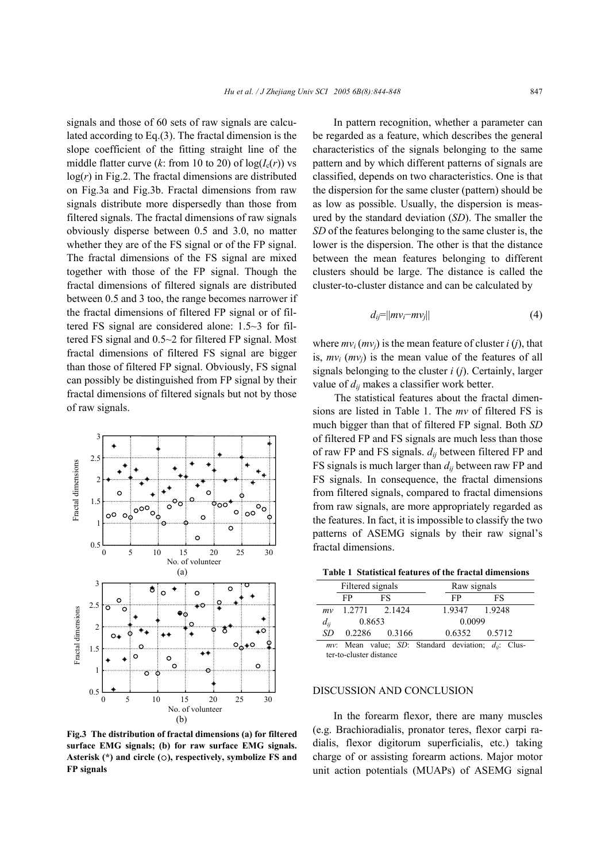signals and those of 60 sets of raw signals are calculated according to Eq.(3). The fractal dimension is the slope coefficient of the fitting straight line of the middle flatter curve  $(k$ : from 10 to 20) of  $log(I_c(r))$  vs  $log(r)$  in Fig.2. The fractal dimensions are distributed on Fig.3a and Fig.3b. Fractal dimensions from raw signals distribute more dispersedly than those from filtered signals. The fractal dimensions of raw signals obviously disperse between 0.5 and 3.0, no matter whether they are of the FS signal or of the FP signal. The fractal dimensions of the FS signal are mixed together with those of the FP signal. Though the fractal dimensions of filtered signals are distributed between 0.5 and 3 too, the range becomes narrower if the fractal dimensions of filtered FP signal or of filtered FS signal are considered alone: 1.5~3 for filtered FS signal and 0.5~2 for filtered FP signal. Most fractal dimensions of filtered FS signal are bigger than those of filtered FP signal. Obviously, FS signal can possibly be distinguished from FP signal by their fractal dimensions of filtered signals but not by those of raw signals.



**Fig.3 The distribution of fractal dimensions (a) for filtered surface EMG signals; (b) for raw surface EMG signals. Asterisk (\*) and circle (**○**), respectively, symbolize FS and FP signals**

In pattern recognition, whether a parameter can be regarded as a feature, which describes the general characteristics of the signals belonging to the same pattern and by which different patterns of signals are classified, depends on two characteristics. One is that the dispersion for the same cluster (pattern) should be as low as possible. Usually, the dispersion is measured by the standard deviation (*SD*). The smaller the *SD* of the features belonging to the same cluster is, the lower is the dispersion. The other is that the distance between the mean features belonging to different clusters should be large. The distance is called the cluster-to-cluster distance and can be calculated by

$$
d_{ij} = ||mv_i - mv_j|| \tag{4}
$$

where  $mv_i$  ( $mv_i$ ) is the mean feature of cluster *i* (*j*), that is,  $mv_i$  ( $mv_i$ ) is the mean value of the features of all signals belonging to the cluster *i* (*j*). Certainly, larger value of *dij* makes a classifier work better.

The statistical features about the fractal dimensions are listed in Table 1. The *mv* of filtered FS is much bigger than that of filtered FP signal. Both *SD* of filtered FP and FS signals are much less than those of raw FP and FS signals. *dij* between filtered FP and FS signals is much larger than *dij* between raw FP and FS signals. In consequence, the fractal dimensions from filtered signals, compared to fractal dimensions from raw signals, are more appropriately regarded as the features. In fact, it is impossible to classify the two patterns of ASEMG signals by their raw signal's fractal dimensions.

**Table 1 Statistical features of the fractal dimensions** 

|                                                       | Filtered signals |        |        | Raw signals |  |
|-------------------------------------------------------|------------------|--------|--------|-------------|--|
|                                                       | FP               | FS     | FP     | FS          |  |
| mv                                                    | 1.2771           | 2.1424 | 1.9347 | 1.9248      |  |
| $d_{ij}$                                              | 0.8653           |        | 0.0099 |             |  |
| SD                                                    | 0.2286           | 0.3166 | 0.6352 | 0.5712      |  |
| Moon realize CD: Ctondord deviation: J. Clus<br>----- |                  |        |        |             |  |

*Mean value; SD: Standard deviation;*  $d_{ii}$ *: Clus*ter-to-cluster distance

#### DISCUSSION AND CONCLUSION

In the forearm flexor, there are many muscles (e.g. Brachioradialis, pronator teres, flexor carpi radialis, flexor digitorum superficialis, etc.) taking charge of or assisting forearm actions. Major motor unit action potentials (MUAPs) of ASEMG signal